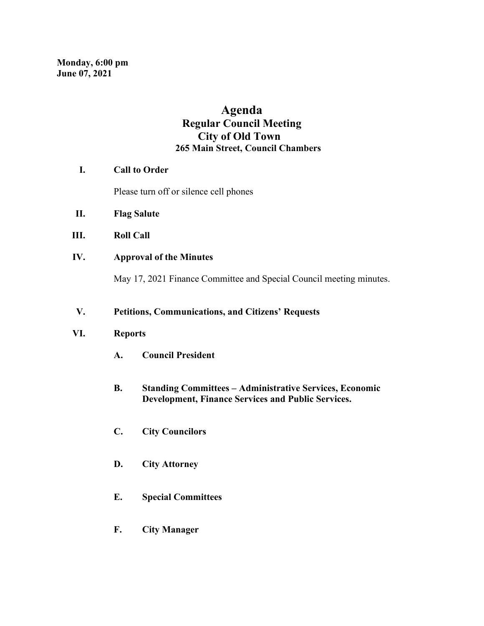# **Agenda Regular Council Meeting City of Old Town 265 Main Street, Council Chambers**

### **I. Call to Order**

Please turn off or silence cell phones

- **II. Flag Salute**
- **III. Roll Call**
- **IV. Approval of the Minutes**

May 17, 2021 Finance Committee and Special Council meeting minutes.

#### **V. Petitions, Communications, and Citizens' Requests**

#### **VI. Reports**

- **A. Council President**
- **B. Standing Committees – Administrative Services, Economic Development, Finance Services and Public Services.**
- **C. City Councilors**
- **D. City Attorney**
- **E. Special Committees**
- **F. City Manager**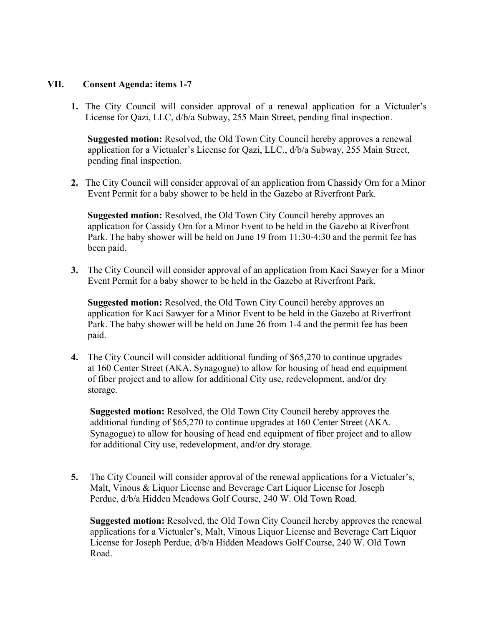#### **VII. Consent Agenda: items 1-7**

**1.** The City Council will consider approval of a renewal application for a Victualer's License for Qazi, LLC, d/b/a Subway, 255 Main Street, pending final inspection.

 **Suggested motion:** Resolved, the Old Town City Council hereby approves a renewal application for a Victualer's License for Qazi, LLC., d/b/a Subway, 255 Main Street, pending final inspection.

**2.** The City Council will consider approval of an application from Chassidy Orn for a Minor Event Permit for a baby shower to be held in the Gazebo at Riverfront Park.

 **Suggested motion:** Resolved, the Old Town City Council hereby approves an application for Cassidy Orn for a Minor Event to be held in the Gazebo at Riverfront Park. The baby shower will be held on June 19 from 11:30-4:30 and the permit fee has been paid.

**3.** The City Council will consider approval of an application from Kaci Sawyer for a Minor Event Permit for a baby shower to be held in the Gazebo at Riverfront Park.

 **Suggested motion:** Resolved, the Old Town City Council hereby approves an application for Kaci Sawyer for a Minor Event to be held in the Gazebo at Riverfront Park. The baby shower will be held on June 26 from 1-4 and the permit fee has been paid.

**4.** The City Council will consider additional funding of \$65,270 to continue upgrades at 160 Center Street (AKA. Synagogue) to allow for housing of head end equipment of fiber project and to allow for additional City use, redevelopment, and/or dry storage.

 **Suggested motion:** Resolved, the Old Town City Council hereby approves the additional funding of \$65,270 to continue upgrades at 160 Center Street (AKA. Synagogue) to allow for housing of head end equipment of fiber project and to allow for additional City use, redevelopment, and/or dry storage.

**5.** The City Council will consider approval of the renewal applications for a Victualer's, Malt, Vinous & Liquor License and Beverage Cart Liquor License for Joseph Perdue, d/b/a Hidden Meadows Golf Course, 240 W. Old Town Road.

 **Suggested motion:** Resolved, the Old Town City Council hereby approves the renewal applications for a Victualer's, Malt, Vinous Liquor License and Beverage Cart Liquor License for Joseph Perdue, d/b/a Hidden Meadows Golf Course, 240 W. Old Town Road.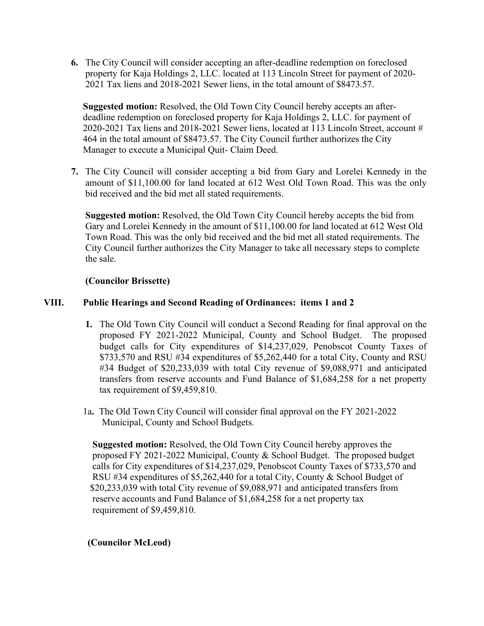**6.** The City Council will consider accepting an after-deadline redemption on foreclosed property for Kaja Holdings 2, LLC. located at 113 Lincoln Street for payment of 2020- 2021 Tax liens and 2018-2021 Sewer liens, in the total amount of \$8473.57.

 **Suggested motion:** Resolved, the Old Town City Council hereby accepts an after deadline redemption on foreclosed property for Kaja Holdings 2, LLC. for payment of 2020-2021 Tax liens and 2018-2021 Sewer liens, located at 113 Lincoln Street, account # 464 in the total amount of \$8473.57. The City Council further authorizes the City Manager to execute a Municipal Quit- Claim Deed.

**7.** The City Council will consider accepting a bid from Gary and Lorelei Kennedy in the amount of \$11,100.00 for land located at 612 West Old Town Road. This was the only bid received and the bid met all stated requirements.

 **Suggested motion:** Resolved, the Old Town City Council hereby accepts the bid from Gary and Lorelei Kennedy in the amount of \$11,100.00 for land located at 612 West Old Town Road. This was the only bid received and the bid met all stated requirements. The City Council further authorizes the City Manager to take all necessary steps to complete the sale.

# **(Councilor Brissette)**

# **VIII. Public Hearings and Second Reading of Ordinances: items 1 and 2**

- **1.** The Old Town City Council will conduct a Second Reading for final approval on the proposed FY 2021-2022 Municipal, County and School Budget. The proposed budget calls for City expenditures of \$14,237,029, Penobscot County Taxes of \$733,570 and RSU #34 expenditures of \$5,262,440 for a total City, County and RSU #34 Budget of \$20,233,039 with total City revenue of \$9,088,971 and anticipated transfers from reserve accounts and Fund Balance of \$1,684,258 for a net property tax requirement of \$9,459,810.
- 1a**.** The Old Town City Council will consider final approval on the FY 2021-2022 Municipal, County and School Budgets.

 **Suggested motion:** Resolved, the Old Town City Council hereby approves the proposed FY 2021-2022 Municipal, County & School Budget. The proposed budget calls for City expenditures of \$14,237,029, Penobscot County Taxes of \$733,570 and RSU #34 expenditures of \$5,262,440 for a total City, County & School Budget of \$20,233,039 with total City revenue of \$9,088,971 and anticipated transfers from reserve accounts and Fund Balance of \$1,684,258 for a net property tax requirement of \$9,459,810.

# **(Councilor McLeod)**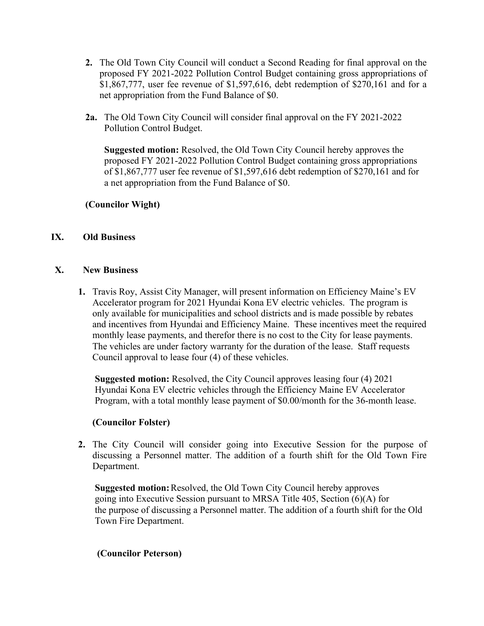- **2.** The Old Town City Council will conduct a Second Reading for final approval on the proposed FY 2021-2022 Pollution Control Budget containing gross appropriations of \$1,867,777, user fee revenue of \$1,597,616, debt redemption of \$270,161 and for a net appropriation from the Fund Balance of \$0.
- **2a.** The Old Town City Council will consider final approval on the FY 2021-2022 Pollution Control Budget.

**Suggested motion:** Resolved, the Old Town City Council hereby approves the proposed FY 2021-2022 Pollution Control Budget containing gross appropriations of \$1,867,777 user fee revenue of \$1,597,616 debt redemption of \$270,161 and for a net appropriation from the Fund Balance of \$0.

# **(Councilor Wight)**

# **IX. Old Business**

### **X. New Business**

**1.** Travis Roy, Assist City Manager, will present information on Efficiency Maine's EV Accelerator program for 2021 Hyundai Kona EV electric vehicles. The program is only available for municipalities and school districts and is made possible by rebates and incentives from Hyundai and Efficiency Maine. These incentives meet the required monthly lease payments, and therefor there is no cost to the City for lease payments. The vehicles are under factory warranty for the duration of the lease. Staff requests Council approval to lease four (4) of these vehicles.

 **Suggested motion:** Resolved, the City Council approves leasing four (4) 2021 Hyundai Kona EV electric vehicles through the Efficiency Maine EV Accelerator Program, with a total monthly lease payment of \$0.00/month for the 36-month lease.

#### **(Councilor Folster)**

**2.** The City Council will consider going into Executive Session for the purpose of discussing a Personnel matter. The addition of a fourth shift for the Old Town Fire Department.

 **Suggested motion:**Resolved, the Old Town City Council hereby approves going into Executive Session pursuant to MRSA Title 405, Section (6)(A) for the purpose of discussing a Personnel matter. The addition of a fourth shift for the Old Town Fire Department.

#### **(Councilor Peterson)**